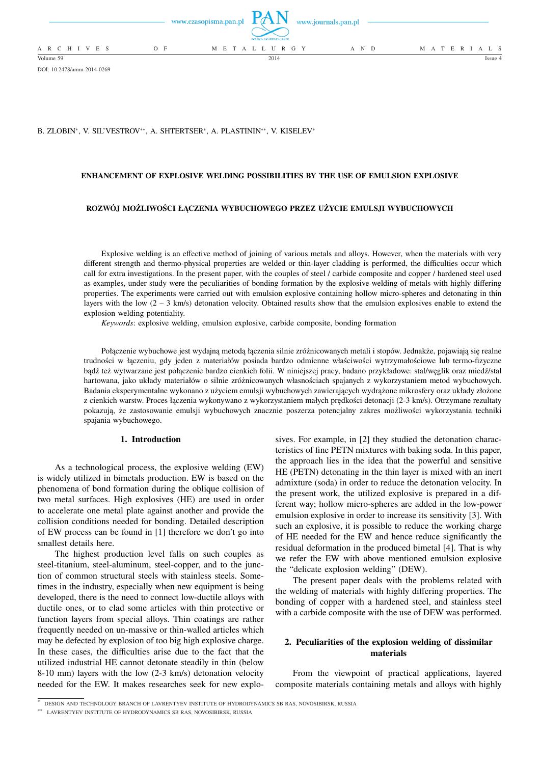

DOI: 10.2478/amm-2014-0269

## B. ZLOBIN<sup>\*</sup>, V. SIL'VESTROV<sup>\*\*</sup>, A. SHTERTSER<sup>\*</sup>, A. PLASTININ<sup>\*\*</sup>, V. KISELEV<sup>\*</sup>

## **ENHANCEMENT OF EXPLOSIVE WELDING POSSIBILITIES BY THE USE OF EMULSION EXPLOSIVE**

## **ROZWÓJ MOŻLIWOŚCI ŁĄCZENIA WYBUCHOWEGO PRZEZ UŻYCIE EMULSJI WYBUCHOWYCH**

Explosive welding is an effective method of joining of various metals and alloys. However, when the materials with very different strength and thermo-physical properties are welded or thin-layer cladding is performed, the difficulties occur which call for extra investigations. In the present paper, with the couples of steel / carbide composite and copper / hardened steel used as examples, under study were the peculiarities of bonding formation by the explosive welding of metals with highly differing properties. The experiments were carried out with emulsion explosive containing hollow micro-spheres and detonating in thin layers with the low  $(2 - 3 \text{ km/s})$  detonation velocity. Obtained results show that the emulsion explosives enable to extend the explosion welding potentiality.

*Keywords*: explosive welding, emulsion explosive, carbide composite, bonding formation

Połączenie wybuchowe jest wydajną metodą łączenia silnie zróżnicowanych metali i stopów. Jednakże, pojawiają się realne trudności w łączeniu, gdy jeden z materiałów posiada bardzo odmienne właściwości wytrzymałościowe lub termo-fizyczne bądź też wytwarzane jest połączenie bardzo cienkich folii. W niniejszej pracy, badano przykładowe: stal/węglik oraz miedź/stal hartowana, jako układy materiałów o silnie zróżnicowanych własnościach spajanych z wykorzystaniem metod wybuchowych. Badania eksperymentalne wykonano z użyciem emulsji wybuchowych zawierających wydrążone mikrosfery oraz układy złożone z cienkich warstw. Proces łączenia wykonywano z wykorzystaniem małych prędkości detonacji (2-3 km/s). Otrzymane rezultaty pokazują, że zastosowanie emulsji wybuchowych znacznie poszerza potencjalny zakres możliwości wykorzystania techniki spajania wybuchowego.

## **1. Introduction**

As a technological process, the explosive welding (EW) is widely utilized in bimetals production. EW is based on the phenomena of bond formation during the oblique collision of two metal surfaces. High explosives (HE) are used in order to accelerate one metal plate against another and provide the collision conditions needed for bonding. Detailed description of EW process can be found in [1] therefore we don't go into smallest details here.

The highest production level falls on such couples as steel-titanium, steel-aluminum, steel-copper, and to the junction of common structural steels with stainless steels. Sometimes in the industry, especially when new equipment is being developed, there is the need to connect low-ductile alloys with ductile ones, or to clad some articles with thin protective or function layers from special alloys. Thin coatings are rather frequently needed on un-massive or thin-walled articles which may be defected by explosion of too big high explosive charge. In these cases, the difficulties arise due to the fact that the utilized industrial HE cannot detonate steadily in thin (below 8-10 mm) layers with the low (2-3 km/s) detonation velocity needed for the EW. It makes researches seek for new explosives. For example, in [2] they studied the detonation characteristics of fine PETN mixtures with baking soda. In this paper, the approach lies in the idea that the powerful and sensitive HE (PETN) detonating in the thin layer is mixed with an inert admixture (soda) in order to reduce the detonation velocity. In the present work, the utilized explosive is prepared in a different way; hollow micro-spheres are added in the low-power emulsion explosive in order to increase its sensitivity [3]. With such an explosive, it is possible to reduce the working charge of HE needed for the EW and hence reduce significantly the residual deformation in the produced bimetal [4]. That is why we refer the EW with above mentioned emulsion explosive the "delicate explosion welding" (DEW).

The present paper deals with the problems related with the welding of materials with highly differing properties. The bonding of copper with a hardened steel, and stainless steel with a carbide composite with the use of DEW was performed.

# **2. Peculiarities of the explosion welding of dissimilar materials**

From the viewpoint of practical applications, layered composite materials containing metals and alloys with highly

<sup>∗</sup> DESIGN AND TECHNOLOGY BRANCH OF LAVRENTYEV INSTITUTE OF HYDRODYNAMICS SB RAS, NOVOSIBIRSK, RUSSIA

<sup>∗∗</sup> LAVRENTYEV INSTITUTE OF HYDRODYNAMICS SB RAS, NOVOSIBIRSK, RUSSIA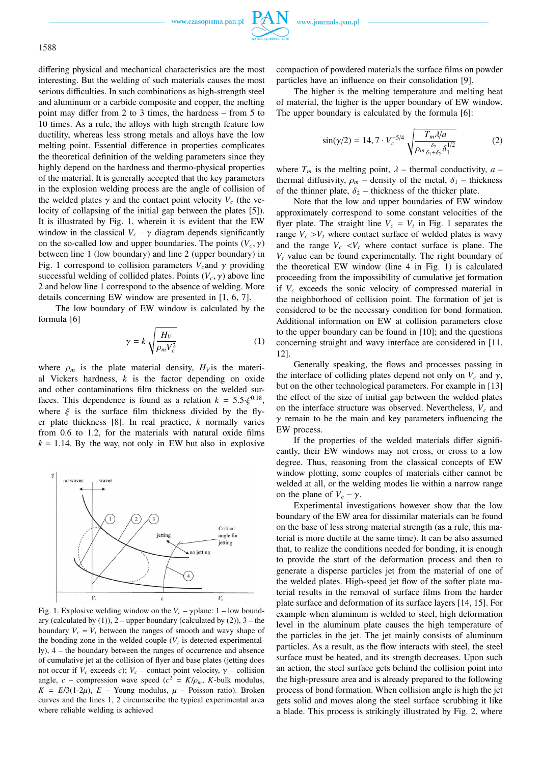www.czasopisma.pan.pl

differing physical and mechanical characteristics are the most interesting. But the welding of such materials causes the most serious difficulties. In such combinations as high-strength steel and aluminum or a carbide composite and copper, the melting point may differ from 2 to 3 times, the hardness – from 5 to 10 times. As a rule, the alloys with high strength feature low ductility, whereas less strong metals and alloys have the low melting point. Essential difference in properties complicates the theoretical definition of the welding parameters since they highly depend on the hardness and thermo-physical properties of the material. It is generally accepted that the key parameters in the explosion welding process are the angle of collision of the welded plates  $\gamma$  and the contact point velocity  $V_c$  (the velocity of collapsing of the initial gap between the plates [5]). It is illustrated by Fig. 1, wherein it is evident that the EW window in the classical  $V_c - \gamma$  diagram depends significantly on the so-called low and upper boundaries. The points  $(V_c, \gamma)$ between line 1 (low boundary) and line 2 (upper boundary) in Fig. 1 correspond to collision parameters  $V_c$  and  $\gamma$  providing successful welding of collided plates. Points  $(V_c, \gamma)$  above line 2 and below line 1 correspond to the absence of welding. More details concerning EW window are presented in [1, 6, 7].

The low boundary of EW window is calculated by the formula [6] s

$$
\gamma = k \sqrt{\frac{H_V}{\rho_m V_c^2}}\tag{1}
$$

where  $\rho_m$  is the plate material density,  $H_V$  is the material Vickers hardness, *k* is the factor depending on oxide and other contaminations film thickness on the welded surfaces. This dependence is found as a relation  $k = 5.5 \cdot \xi^{0.18}$ , where  $\xi$  is the surface film thickness divided by the flyer plate thickness [8]. In real practice, *k* normally varies from 0.6 to 1.2, for the materials with natural oxide films  $k = 1.14$ . By the way, not only in EW but also in explosive



Fig. 1. Explosive welding window on the  $V_c - \gamma$  plane: 1 – low boundary (calculated by  $(1)$ ), 2 – upper boundary (calculated by  $(2)$ ), 3 – the boundary  $V_c = V_t$  between the ranges of smooth and wavy shape of the bonding zone in the welded couple  $(V_t)$  is detected experimentally), 4 – the boundary between the ranges of occurrence and absence of cumulative jet at the collision of flyer and base plates (jetting does not occur if  $V_c$  exceeds *c*);  $V_c$  – contact point velocity,  $\gamma$  – collision angle, *c* – compression wave speed ( $c^2 = K/\rho_m$ , *K*-bulk modulus,  $K = E/3(1-2\mu)$ ,  $E$  – Young modulus,  $\mu$  – Poisson ratio). Broken curves and the lines 1, 2 circumscribe the typical experimental area where reliable welding is achieved

compaction of powdered materials the surface films on powder particles have an influence on their consolidation [9].

The higher is the melting temperature and melting heat of material, the higher is the upper boundary of EW window. The upper boundary is calculated by the formula [6]:

$$
\sin(\gamma/2) = 14, 7 \cdot V_c^{-5/4} \sqrt{\frac{T_m \lambda/a}{\rho_m \frac{\delta_2}{\delta_1 + \delta_2} \delta_1^{1/2}}}
$$
(2)

where  $T_m$  is the melting point,  $\lambda$  – thermal conductivity,  $a$  – thermal diffusivity,  $\rho_m$  – density of the metal,  $\delta_1$  – thickness of the thinner plate,  $\delta_2$  – thickness of the thicker plate.

Note that the low and upper boundaries of EW window approximately correspond to some constant velocities of the flyer plate. The straight line  $V_c = V_t$  in Fig. 1 separates the range  $V_c > V_t$  where contact surface of welded plates is wavy and the range  $V_c \lt V_t$  where contact surface is plane. The  $V_t$  value can be found experimentally. The right boundary of the theoretical EW window (line 4 in Fig. 1) is calculated proceeding from the impossibility of cumulative jet formation if  $V_c$  exceeds the sonic velocity of compressed material in the neighborhood of collision point. The formation of jet is considered to be the necessary condition for bond formation. Additional information on EW at collision parameters close to the upper boundary can be found in [10]; and the questions concerning straight and wavy interface are considered in [11, 12].

Generally speaking, the flows and processes passing in the interface of colliding plates depend not only on  $V_c$  and  $\gamma$ , but on the other technological parameters. For example in [13] the effect of the size of initial gap between the welded plates on the interface structure was observed. Nevertheless, *V<sup>c</sup>* and  $\gamma$  remain to be the main and key parameters influencing the EW process.

If the properties of the welded materials differ significantly, their EW windows may not cross, or cross to a low degree. Thus, reasoning from the classical concepts of EW window plotting, some couples of materials either cannot be welded at all, or the welding modes lie within a narrow range on the plane of  $V_c - \gamma$ .

Experimental investigations however show that the low boundary of the EW area for dissimilar materials can be found on the base of less strong material strength (as a rule, this material is more ductile at the same time). It can be also assumed that, to realize the conditions needed for bonding, it is enough to provide the start of the deformation process and then to generate a disperse particles jet from the material of one of the welded plates. High-speed jet flow of the softer plate material results in the removal of surface films from the harder plate surface and deformation of its surface layers [14, 15]. For example when aluminum is welded to steel, high deformation level in the aluminum plate causes the high temperature of the particles in the jet. The jet mainly consists of aluminum particles. As a result, as the flow interacts with steel, the steel surface must be heated, and its strength decreases. Upon such an action, the steel surface gets behind the collision point into the high-pressure area and is already prepared to the following process of bond formation. When collision angle is high the jet gets solid and moves along the steel surface scrubbing it like a blade. This process is strikingly illustrated by Fig. 2, where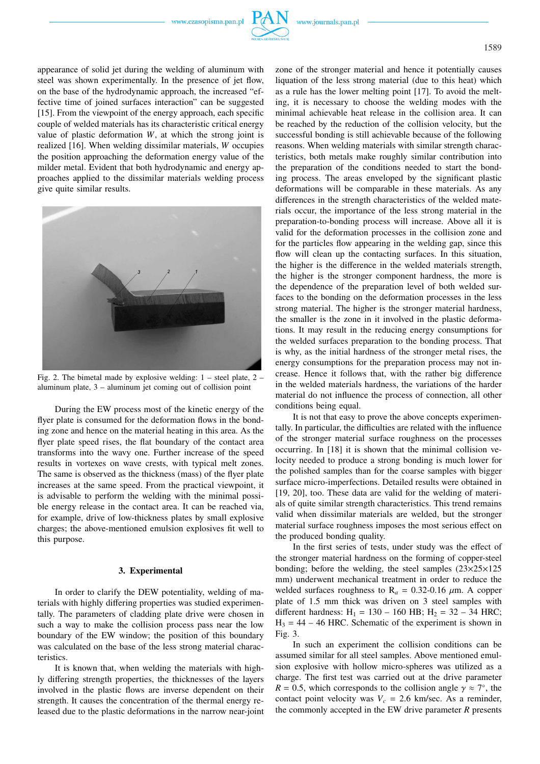appearance of solid jet during the welding of aluminum with steel was shown experimentally. In the presence of jet flow, on the base of the hydrodynamic approach, the increased "effective time of joined surfaces interaction" can be suggested [15]. From the viewpoint of the energy approach, each specific couple of welded materials has its characteristic critical energy value of plastic deformation *W*, at which the strong joint is realized [16]. When welding dissimilar materials, *W* occupies the position approaching the deformation energy value of the milder metal. Evident that both hydrodynamic and energy approaches applied to the dissimilar materials welding process give quite similar results.



Fig. 2. The bimetal made by explosive welding: 1 – steel plate, 2 – aluminum plate, 3 – aluminum jet coming out of collision point

During the EW process most of the kinetic energy of the flyer plate is consumed for the deformation flows in the bonding zone and hence on the material heating in this area. As the flyer plate speed rises, the flat boundary of the contact area transforms into the wavy one. Further increase of the speed results in vortexes on wave crests, with typical melt zones. The same is observed as the thickness (mass) of the flyer plate increases at the same speed. From the practical viewpoint, it is advisable to perform the welding with the minimal possible energy release in the contact area. It can be reached via, for example, drive of low-thickness plates by small explosive charges; the above-mentioned emulsion explosives fit well to this purpose.

## **3. Experimental**

In order to clarify the DEW potentiality, welding of materials with highly differing properties was studied experimentally. The parameters of cladding plate drive were chosen in such a way to make the collision process pass near the low boundary of the EW window; the position of this boundary was calculated on the base of the less strong material characteristics.

It is known that, when welding the materials with highly differing strength properties, the thicknesses of the layers involved in the plastic flows are inverse dependent on their strength. It causes the concentration of the thermal energy released due to the plastic deformations in the narrow near-joint zone of the stronger material and hence it potentially causes liquation of the less strong material (due to this heat) which as a rule has the lower melting point [17]. To avoid the melting, it is necessary to choose the welding modes with the minimal achievable heat release in the collision area. It can be reached by the reduction of the collision velocity, but the successful bonding is still achievable because of the following reasons. When welding materials with similar strength characteristics, both metals make roughly similar contribution into the preparation of the conditions needed to start the bonding process. The areas enveloped by the significant plastic deformations will be comparable in these materials. As any differences in the strength characteristics of the welded materials occur, the importance of the less strong material in the preparation-to-bonding process will increase. Above all it is valid for the deformation processes in the collision zone and for the particles flow appearing in the welding gap, since this flow will clean up the contacting surfaces. In this situation, the higher is the difference in the welded materials strength, the higher is the stronger component hardness, the more is the dependence of the preparation level of both welded surfaces to the bonding on the deformation processes in the less strong material. The higher is the stronger material hardness, the smaller is the zone in it involved in the plastic deformations. It may result in the reducing energy consumptions for the welded surfaces preparation to the bonding process. That is why, as the initial hardness of the stronger metal rises, the energy consumptions for the preparation process may not increase. Hence it follows that, with the rather big difference in the welded materials hardness, the variations of the harder material do not influence the process of connection, all other conditions being equal.

It is not that easy to prove the above concepts experimentally. In particular, the difficulties are related with the influence of the stronger material surface roughness on the processes occurring. In [18] it is shown that the minimal collision velocity needed to produce a strong bonding is much lower for the polished samples than for the coarse samples with bigger surface micro-imperfections. Detailed results were obtained in [19, 20], too. These data are valid for the welding of materials of quite similar strength characteristics. This trend remains valid when dissimilar materials are welded, but the stronger material surface roughness imposes the most serious effect on the produced bonding quality.

In the first series of tests, under study was the effect of the stronger material hardness on the forming of copper-steel bonding; before the welding, the steel samples (23×25×125 mm) underwent mechanical treatment in order to reduce the welded surfaces roughness to  $R_a = 0.32$ -0.16  $\mu$ m. A copper plate of 1.5 mm thick was driven on 3 steel samples with different hardness:  $H_1 = 130 - 160$  HB;  $H_2 = 32 - 34$  HRC;  $H_3 = 44 - 46$  HRC. Schematic of the experiment is shown in Fig. 3.

In such an experiment the collision conditions can be assumed similar for all steel samples. Above mentioned emulsion explosive with hollow micro-spheres was utilized as a charge. The first test was carried out at the drive parameter  $R = 0.5$ , which corresponds to the collision angle  $\gamma \approx 7^{\circ}$ , the contact point velocity was  $V_c = 2.6$  km/sec. As a reminder, the commonly accepted in the EW drive parameter *R* presents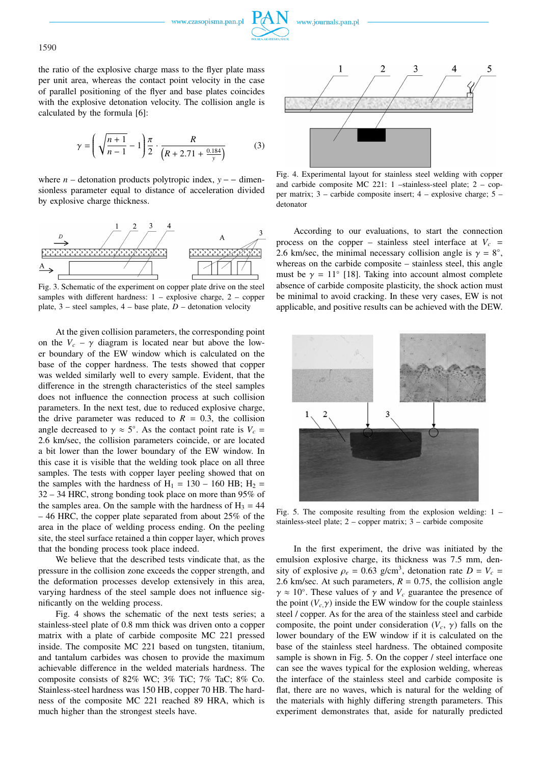

#### 1590

the ratio of the explosive charge mass to the flyer plate mass per unit area, whereas the contact point velocity in the case of parallel positioning of the flyer and base plates coincides with the explosive detonation velocity. The collision angle is calculated by the formula [6]:

$$
\gamma = \left(\sqrt{\frac{n+1}{n-1}} - 1\right) \frac{\pi}{2} \cdot \frac{R}{\left(R + 2.71 + \frac{0.184}{y}\right)}\tag{3}
$$

where  $n -$  detonation products polytropic index,  $y -$  − dimensionless parameter equal to distance of acceleration divided by explosive charge thickness.



Fig. 3. Schematic of the experiment on copper plate drive on the steel samples with different hardness: 1 – explosive charge, 2 – copper plate,  $3$  – steel samples,  $4$  – base plate,  $D$  – detonation velocity

At the given collision parameters, the corresponding point on the  $V_c - \gamma$  diagram is located near but above the lower boundary of the EW window which is calculated on the base of the copper hardness. The tests showed that copper was welded similarly well to every sample. Evident, that the difference in the strength characteristics of the steel samples does not influence the connection process at such collision parameters. In the next test, due to reduced explosive charge, the drive parameter was reduced to  $R = 0.3$ , the collision angle decreased to  $\gamma \approx 5^{\circ}$ . As the contact point rate is  $V_c =$ 2.6 km/sec, the collision parameters coincide, or are located a bit lower than the lower boundary of the EW window. In this case it is visible that the welding took place on all three samples. The tests with copper layer peeling showed that on the samples with the hardness of  $H_1 = 130 - 160$  HB;  $H_2 =$ 32 – 34 HRC, strong bonding took place on more than 95% of the samples area. On the sample with the hardness of  $H_3 = 44$ – 46 HRC, the copper plate separated from about 25% of the area in the place of welding process ending. On the peeling site, the steel surface retained a thin copper layer, which proves that the bonding process took place indeed.

We believe that the described tests vindicate that, as the pressure in the collision zone exceeds the copper strength, and the deformation processes develop extensively in this area, varying hardness of the steel sample does not influence significantly on the welding process.

Fig. 4 shows the schematic of the next tests series; a stainless-steel plate of 0.8 mm thick was driven onto a copper matrix with a plate of carbide composite MC 221 pressed inside. The composite MC 221 based on tungsten, titanium, and tantalum carbides was chosen to provide the maximum achievable difference in the welded materials hardness. The composite consists of 82% WC; 3% TiC; 7% TaC; 8% Co. Stainless-steel hardness was 150 HB, copper 70 HB. The hardness of the composite MC 221 reached 89 HRA, which is much higher than the strongest steels have.



Fig. 4. Experimental layout for stainless steel welding with copper and carbide composite MC 221: 1 –stainless-steel plate; 2 – copper matrix;  $3$  – carbide composite insert;  $4$  – explosive charge;  $5$  – detonator

According to our evaluations, to start the connection process on the copper – stainless steel interface at  $V_c$  = 2.6 km/sec, the minimal necessary collision angle is  $\gamma = 8^{\circ}$ , whereas on the carbide composite – stainless steel, this angle must be  $\gamma = 11^\circ$  [18]. Taking into account almost complete absence of carbide composite plasticity, the shock action must be minimal to avoid cracking. In these very cases, EW is not applicable, and positive results can be achieved with the DEW.



Fig. 5. The composite resulting from the explosion welding:  $1$ stainless-steel plate; 2 – copper matrix; 3 – carbide composite

In the first experiment, the drive was initiated by the emulsion explosive charge, its thickness was 7.5 mm, density of explosive  $\rho_e = 0.63$  g/cm<sup>3</sup>, detonation rate  $D = V_c$ 2.6 km/sec. At such parameters,  $R = 0.75$ , the collision angle  $\gamma \approx 10^{\circ}$ . These values of  $\gamma$  and  $V_c$  guarantee the presence of the point  $(V_c, \gamma)$  inside the EW window for the couple stainless steel / copper. As for the area of the stainless steel and carbide composite, the point under consideration  $(V_c, \gamma)$  falls on the lower boundary of the EW window if it is calculated on the base of the stainless steel hardness. The obtained composite sample is shown in Fig. 5. On the copper / steel interface one can see the waves typical for the explosion welding, whereas the interface of the stainless steel and carbide composite is flat, there are no waves, which is natural for the welding of the materials with highly differing strength parameters. This experiment demonstrates that, aside for naturally predicted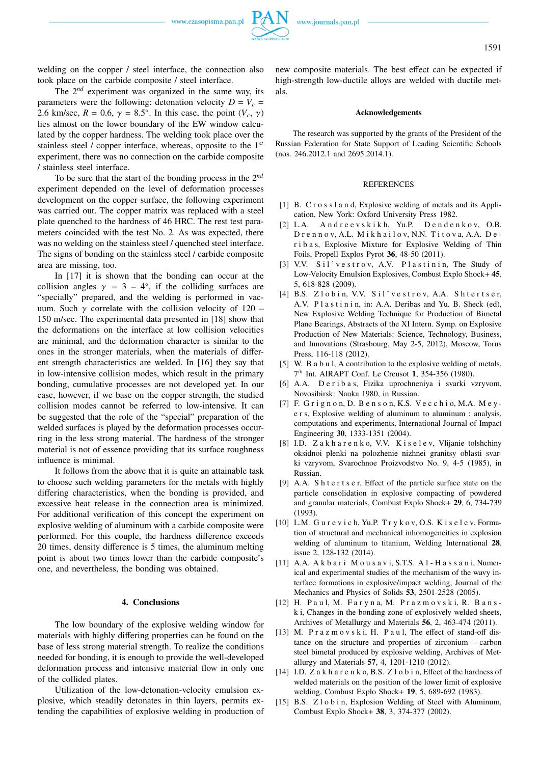www.czasopisma.pan.pl

welding on the copper / steel interface, the connection also took place on the carbide composite / steel interface.

The 2*nd* experiment was organized in the same way, its parameters were the following: detonation velocity  $D = V_c$  = 2.6 km/sec,  $R = 0.6$ ,  $\gamma = 8.5^\circ$ . In this case, the point  $(V_c, \gamma)$ lies almost on the lower boundary of the EW window calculated by the copper hardness. The welding took place over the stainless steel / copper interface, whereas, opposite to the 1*st* experiment, there was no connection on the carbide composite / stainless steel interface.

To be sure that the start of the bonding process in the 2*nd* experiment depended on the level of deformation processes development on the copper surface, the following experiment was carried out. The copper matrix was replaced with a steel plate quenched to the hardness of 46 HRC. The rest test parameters coincided with the test No. 2. As was expected, there was no welding on the stainless steel / quenched steel interface. The signs of bonding on the stainless steel / carbide composite area are missing, too.

In [17] it is shown that the bonding can occur at the collision angles  $\gamma = 3 - 4^\circ$ , if the colliding surfaces are "specially" prepared, and the welding is performed in vacuum. Such  $\gamma$  correlate with the collision velocity of 120 – 150 m/sec. The experimental data presented in [18] show that the deformations on the interface at low collision velocities are minimal, and the deformation character is similar to the ones in the stronger materials, when the materials of different strength characteristics are welded. In [16] they say that in low-intensive collision modes, which result in the primary bonding, cumulative processes are not developed yet. In our case, however, if we base on the copper strength, the studied collision modes cannot be referred to low-intensive. It can be suggested that the role of the "special" preparation of the welded surfaces is played by the deformation processes occurring in the less strong material. The hardness of the stronger material is not of essence providing that its surface roughness influence is minimal.

It follows from the above that it is quite an attainable task to choose such welding parameters for the metals with highly differing characteristics, when the bonding is provided, and excessive heat release in the connection area is minimized. For additional verification of this concept the experiment on explosive welding of aluminum with a carbide composite were performed. For this couple, the hardness difference exceeds 20 times, density difference is 5 times, the aluminum melting point is about two times lower than the carbide composite's one, and nevertheless, the bonding was obtained.

# **4. Conclusions**

The low boundary of the explosive welding window for materials with highly differing properties can be found on the base of less strong material strength. To realize the conditions needed for bonding, it is enough to provide the well-developed deformation process and intensive material flow in only one of the collided plates.

Utilization of the low-detonation-velocity emulsion explosive, which steadily detonates in thin layers, permits extending the capabilities of explosive welding in production of new composite materials. The best effect can be expected if high-strength low-ductile alloys are welded with ductile metals.

#### **Acknowledgements**

The research was supported by the grants of the President of the Russian Federation for State Support of Leading Scientific Schools (nos. 246.2012.1 and 2695.2014.1).

#### **REFERENCES**

- [1] B. C r o s s l a n d, Explosive welding of metals and its Application, New York: Oxford University Press 1982.
- [2] L.A. And r e e v s k i k h, Yu.P. D e n d e n k o v, O.B. D r e n n o v, A.L. M i k h a i l o v, N.N. T i t o v a, A.A. D e r i b a s, Explosive Mixture for Explosive Welding of Thin Foils, Propell Explos Pyrot **36**, 48-50 (2011).
- [3] V.V. Sil' ve strov, A.V. Plastinin, The Study of Low-Velocity Emulsion Explosives, Combust Explo Shock+ **45**, 5, 618-828 (2009).
- [4] B.S. Zlobin, V.V. Sil' vestrov, A.A. Shtertser, A.V. Plastinin, in: A.A. Deribas and Yu. B. Sheck (ed), New Explosive Welding Technique for Production of Bimetal Plane Bearings, Abstracts of the XI Intern. Symp. on Explosive Production of New Materials: Science, Technology, Business, and Innovations (Strasbourg, May 2-5, 2012), Moscow, Torus Press, 116-118 (2012).
- [5] W. B a b u l, A contribution to the explosive welding of metals, 7 *th* Int. AIRAPT Conf. Le Creusot **1**, 354-356 (1980).
- [6] A.A. D e r i b a s, Fizika uprochneniya i svarki vzryvom, Novosibirsk: Nauka 1980, in Russian.
- [7] F. G r i g n o n, D. B e n s o n, K.S. Ve c c h i o, M.A. M e y e r s, Explosive welding of aluminum to aluminum : analysis, computations and experiments, International Journal of Impact Engineering **30**, 1333-1351 (2004).
- [8] I.D. Z a k h a r e n k o, V.V. K i s e l e v, Vlijanie tolshchiny oksidnoi plenki na polozhenie nizhnei granitsy oblasti svarki vzryvom, Svarochnoe Proizvodstvo No. 9, 4-5 (1985), in Russian.
- [9] A.A. S h t e r t s e r, Effect of the particle surface state on the particle consolidation in explosive compacting of powdered and granular materials, Combust Explo Shock+ **29**, 6, 734-739 (1993).
- [10] L.M. Gurevich, Yu.P. Trykov, O.S. Kiselev, Formation of structural and mechanical inhomogeneities in explosion welding of aluminum to titanium, Welding International **28**, issue 2, 128-132 (2014).
- [11] A.A. A k b a r i M o u s a v i, S.T.S. A l H a s s a n i, Numerical and experimental studies of the mechanism of the wavy interface formations in explosive/impact welding, Journal of the Mechanics and Physics of Solids **53**, 2501-2528 (2005).
- [12] H. P a u l, M. F a r y n a, M. P r a z m o v s k i, R. B a n s k i, Changes in the bonding zone of explosively welded sheets, Archives of Metallurgy and Materials **56**, 2, 463-474 (2011).
- [13] M. Prazmovski, H. Paul, The effect of stand-off distance on the structure and properties of zirconium – carbon steel bimetal produced by explosive welding, Archives of Metallurgy and Materials **57**, 4, 1201-1210 (2012).
- [14] I.D. Z a k h a r e n k o, B.S. Z l o b i n, Effect of the hardness of welded materials on the position of the lower limit of explosive welding, Combust Explo Shock+ **19**, 5, 689-692 (1983).
- [15] B.S. Z l o b i n, Explosion Welding of Steel with Aluminum, Combust Explo Shock+ **38**, 3, 374-377 (2002).